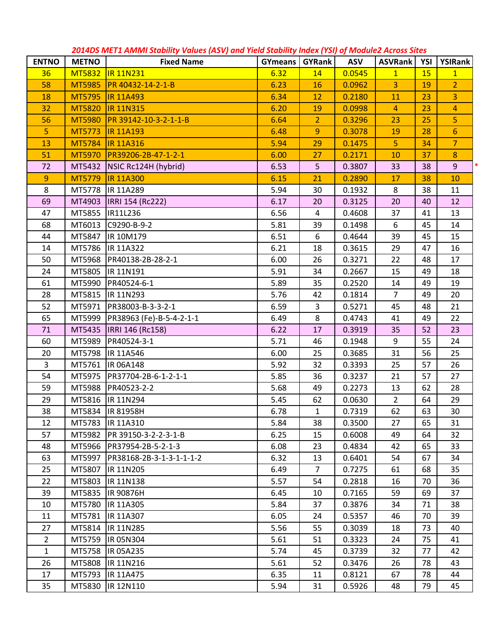| <b>ENTNO</b>   | <b>METNO</b>  | corros me i'll Ammi Stability Valacs (As V) and Ticla Stability inack (TSI) of module Atross Sites<br><b>Fixed Name</b> | <b>GYmeans   GYRank</b> |                         | <b>ASV</b> | ASVRank   YSI  |    | YSIRank        |
|----------------|---------------|-------------------------------------------------------------------------------------------------------------------------|-------------------------|-------------------------|------------|----------------|----|----------------|
| 36             |               | MT5832 IR 11N231                                                                                                        | 6.32                    | 14                      | 0.0545     | 1              | 15 | 1              |
| 58             |               | MT5985 PR 40432-14-2-1-B                                                                                                | 6.23                    | 16                      | 0.0962     | $\overline{3}$ | 19 | $\overline{2}$ |
| 18             | MT5795        | <b>IR 11A493</b>                                                                                                        | 6.34                    | 12                      | 0.2180     | 11             | 23 | $\overline{3}$ |
| 32             | <b>MT5820</b> | <b>IR 11N315</b>                                                                                                        | 6.20                    | 19                      | 0.0998     | $\overline{4}$ | 23 | $\overline{4}$ |
| 56             | <b>MT5980</b> | PR 39142-10-3-2-1-1-B                                                                                                   | 6.64                    | 2 <sup>1</sup>          | 0.3296     | 23             | 25 | 5              |
| 5              | MT5773        | <b>IR 11A193</b>                                                                                                        | 6.48                    | 9                       | 0.3078     | 19             | 28 | 6 <sup>1</sup> |
| 13             | MT5784        | <b>IR 11A316</b>                                                                                                        | 5.94                    | 29                      | 0.1475     | 5              | 34 | $\overline{7}$ |
| 51             | <b>MT5970</b> | PR39206-2B-47-1-2-1                                                                                                     | 6.00                    | 27                      | 0.2171     | 10             | 37 | 8              |
| 72             |               | MT5432   NSIC Rc124H (hybrid)                                                                                           | 6.53                    | 5                       | 0.3807     | 33             | 38 | 9 <sup>°</sup> |
| 9              | MT5779        | <b>IR 11A300</b>                                                                                                        | 6.15                    | 21                      | 0.2890     | 17             | 38 | 10             |
| 8              |               | MT5778  IR 11A289                                                                                                       | 5.94                    | 30                      | 0.1932     | 8              | 38 | 11             |
| 69             |               | MT4903  IRRI 154 (Rc222)                                                                                                | 6.17                    | 20                      | 0.3125     | 20             | 40 | 12             |
| 47             |               | MT5855  IR11L236                                                                                                        | 6.56                    | $\overline{\mathbf{4}}$ | 0.4608     | 37             | 41 | 13             |
| 68             |               | MT6013 C9290-B-9-2                                                                                                      | 5.81                    | 39                      | 0.1498     | 6              | 45 | 14             |
| 44             |               | MT5847  IR 10M179                                                                                                       | 6.51                    | 6                       | 0.4644     | 39             | 45 | 15             |
| 14             | MT5786        | IR 11A322                                                                                                               | 6.21                    | 18                      | 0.3615     | 29             | 47 | 16             |
| 50             |               | MT5968 PR40138-2B-28-2-1                                                                                                | 6.00                    | 26                      | 0.3271     | 22             | 48 | 17             |
| 24             |               | MT5805  IR 11N191                                                                                                       | 5.91                    | 34                      | 0.2667     | 15             | 49 | 18             |
| 61             | MT5990        | PR40524-6-1                                                                                                             | 5.89                    | 35                      | 0.2520     | 14             | 49 | 19             |
| 28             |               | MT5815  IR 11N293                                                                                                       | 5.76                    | 42                      | 0.1814     | $\overline{7}$ | 49 | 20             |
| 52             |               | MT5971   PR38003-B-3-3-2-1                                                                                              | 6.59                    | 3                       | 0.5271     | 45             | 48 | 21             |
| 65             |               | MT5999   PR38963 (Fe)-B-5-4-2-1-1                                                                                       | 6.49                    | 8                       | 0.4743     | 41             | 49 | 22             |
| 71             |               | MT5435  IRRI 146 (Rc158)                                                                                                | 6.22                    | 17                      | 0.3919     | 35             | 52 | 23             |
| 60             | MT5989        | PR40524-3-1                                                                                                             | 5.71                    | 46                      | 0.1948     | 9              | 55 | 24             |
| 20             |               | MT5798  IR 11A546                                                                                                       | 6.00                    | 25                      | 0.3685     | 31             | 56 | 25             |
| 3              |               | MT5761  IR 06A148                                                                                                       | 5.92                    | 32                      | 0.3393     | 25             | 57 | 26             |
| 54             |               | MT5975   PR37704-2B-6-1-2-1-1                                                                                           | 5.85                    | 36                      | 0.3237     | 21             | 57 | 27             |
| 59             | MT5988        | PR40523-2-2                                                                                                             | 5.68                    | 49                      | 0.2273     | 13             | 62 | 28             |
| 29             |               | MT5816  IR 11N294                                                                                                       | 5.45                    | 62                      | 0.0630     | $\overline{2}$ | 64 | 29             |
| 38             |               | MT5834   IR 81958H                                                                                                      | 6.78                    | $\mathbf{1}$            | 0.7319     | 62             | 63 | 30             |
| 12             | MT5783        | <b>IR 11A310</b>                                                                                                        | 5.84                    | 38                      | 0.3500     | 27             | 65 | 31             |
| 57             | MT5982        | PR 39150-3-2-2-3-1-B                                                                                                    | 6.25                    | 15                      | 0.6008     | 49             | 64 | 32             |
| 48             | MT5966        | PR37954-2B-5-2-1-3                                                                                                      | 6.08                    | 23                      | 0.4834     | 42             | 65 | 33             |
| 63             | MT5997        | PR38168-2B-3-1-3-1-1-1-2                                                                                                | 6.32                    | 13                      | 0.6401     | 54             | 67 | 34             |
| 25             | MT5807        | IR 11N205                                                                                                               | 6.49                    | $\overline{7}$          | 0.7275     | 61             | 68 | 35             |
| 22             | MT5803        | IR 11N138                                                                                                               | 5.57                    | 54                      | 0.2818     | 16             | 70 | 36             |
| 39             | MT5835        | IR 90876H                                                                                                               | 6.45                    | 10                      | 0.7165     | 59             | 69 | 37             |
| 10             | MT5780        | IR 11A305                                                                                                               | 5.84                    | 37                      | 0.3876     | 34             | 71 | 38             |
| 11             | MT5781        | IR 11A307                                                                                                               | 6.05                    | 24                      | 0.5357     | 46             | 70 | 39             |
| 27             | MT5814        | IR 11N285                                                                                                               | 5.56                    | 55                      | 0.3039     | 18             | 73 | 40             |
| $\overline{2}$ | MT5759        | IR 05N304                                                                                                               | 5.61                    | 51                      | 0.3323     | 24             | 75 | 41             |
| $\mathbf{1}$   | MT5758        | IR 05A235                                                                                                               | 5.74                    | 45                      | 0.3739     | 32             | 77 | 42             |
| 26             | MT5808        | IR 11N216                                                                                                               | 5.61                    | 52                      | 0.3476     | 26             | 78 | 43             |
| 17             | MT5793        | IR 11A475                                                                                                               | 6.35                    | 11                      | 0.8121     | 67             | 78 | 44             |
| 35             | MT5830        | IR 12N110                                                                                                               | 5.94                    | 31                      | 0.5926     | 48             | 79 | 45             |

*2014DS MET1 AMMI Stability Values (ASV) and Yield Stability Index (YSI) of Module2 Across Sites*